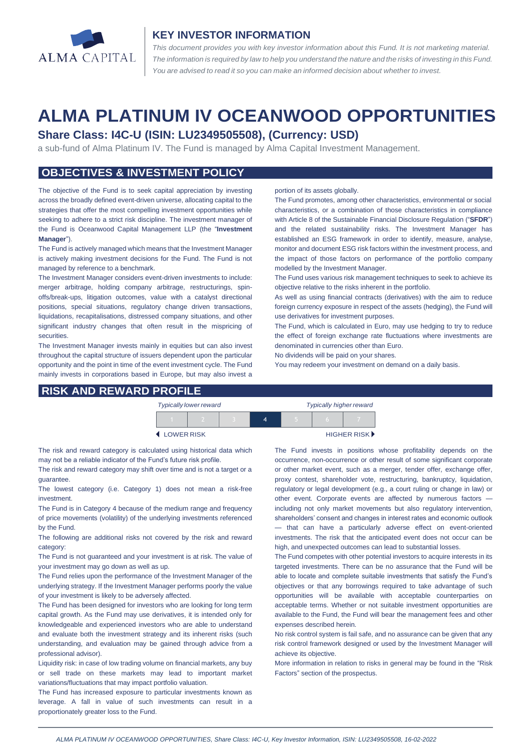

### **KEY INVESTOR INFORMATION**

*This document provides you with key investor information about this Fund. It is not marketing material.*  The information is required by law to help you understand the nature and the risks of investing in this Fund. *You are advised to read it so you can make an informed decision about whether to invest.*

# **ALMA PLATINUM IV OCEANWOOD OPPORTUNITIES**

# **Share Class: I4C-U (ISIN: LU2349505508), (Currency: USD)**

a sub-fund of Alma Platinum IV. The Fund is managed by Alma Capital Investment Management.

# **OBJECTIVES & INVESTMENT POLICY**

The objective of the Fund is to seek capital appreciation by investing across the broadly defined event-driven universe, allocating capital to the strategies that offer the most compelling investment opportunities while seeking to adhere to a strict risk discipline. The investment manager of the Fund is Oceanwood Capital Management LLP (the "**Investment Manager**").

The Fund is actively managed which means that the Investment Manager is actively making investment decisions for the Fund. The Fund is not managed by reference to a benchmark.

The Investment Manager considers event-driven investments to include: merger arbitrage, holding company arbitrage, restructurings, spinoffs/break-ups, litigation outcomes, value with a catalyst directional positions, special situations, regulatory change driven transactions, liquidations, recapitalisations, distressed company situations, and other significant industry changes that often result in the mispricing of securities.

The Investment Manager invests mainly in equities but can also invest throughout the capital structure of issuers dependent upon the particular opportunity and the point in time of the event investment cycle. The Fund mainly invests in corporations based in Europe, but may also invest a

#### **RISK AND REWARD PROFILE**

#### portion of its assets globally.

The Fund promotes, among other characteristics, environmental or social characteristics, or a combination of those characteristics in compliance with Article 8 of the Sustainable Financial Disclosure Regulation ("**SFDR**") and the related sustainability risks. The Investment Manager has established an ESG framework in order to identify, measure, analyse, monitor and document ESG risk factors within the investment process, and the impact of those factors on performance of the portfolio company modelled by the Investment Manager.

The Fund uses various risk management techniques to seek to achieve its objective relative to the risks inherent in the portfolio.

As well as using financial contracts (derivatives) with the aim to reduce foreign currency exposure in respect of the assets (hedging), the Fund will use derivatives for investment purposes.

The Fund, which is calculated in Euro, may use hedging to try to reduce the effect of foreign exchange rate fluctuations where investments are denominated in currencies other than Euro.

No dividends will be paid on your shares.

You may redeem your investment on demand on a daily basis.

|                     | <b>Typically lower reward</b> |  | <b>Typically higher reward</b> |  |  |                             |
|---------------------|-------------------------------|--|--------------------------------|--|--|-----------------------------|
|                     |                               |  |                                |  |  |                             |
| <b>4 LOWER RISK</b> |                               |  |                                |  |  | HIGHER RISK <sup>&gt;</sup> |

The risk and reward category is calculated using historical data which may not be a reliable indicator of the Fund's future risk profile.

The risk and reward category may shift over time and is not a target or a guarantee.

The lowest category (i.e. Category 1) does not mean a risk-free investment.

The Fund is in Category 4 because of the medium range and frequency of price movements (volatility) of the underlying investments referenced by the Fund.

The following are additional risks not covered by the risk and reward category:

The Fund is not guaranteed and your investment is at risk. The value of your investment may go down as well as up.

The Fund relies upon the performance of the Investment Manager of the underlying strategy. If the Investment Manager performs poorly the value of your investment is likely to be adversely affected.

The Fund has been designed for investors who are looking for long term capital growth. As the Fund may use derivatives, it is intended only for knowledgeable and experienced investors who are able to understand and evaluate both the investment strategy and its inherent risks (such understanding, and evaluation may be gained through advice from a professional advisor).

Liquidity risk: in case of low trading volume on financial markets, any buy or sell trade on these markets may lead to important market variations/fluctuations that may impact portfolio valuation.

The Fund has increased exposure to particular investments known as leverage. A fall in value of such investments can result in a proportionately greater loss to the Fund.

The Fund invests in positions whose profitability depends on the occurrence, non-occurrence or other result of some significant corporate or other market event, such as a merger, tender offer, exchange offer, proxy contest, shareholder vote, restructuring, bankruptcy, liquidation, regulatory or legal development (e.g., a court ruling or change in law) or other event. Corporate events are affected by numerous factors including not only market movements but also regulatory intervention, shareholders' consent and changes in interest rates and economic outlook — that can have a particularly adverse effect on event-oriented investments. The risk that the anticipated event does not occur can be high, and unexpected outcomes can lead to substantial losses.

The Fund competes with other potential investors to acquire interests in its targeted investments. There can be no assurance that the Fund will be able to locate and complete suitable investments that satisfy the Fund's objectives or that any borrowings required to take advantage of such opportunities will be available with acceptable counterparties on acceptable terms. Whether or not suitable investment opportunities are available to the Fund, the Fund will bear the management fees and other expenses described herein.

No risk control system is fail safe, and no assurance can be given that any risk control framework designed or used by the Investment Manager will achieve its objective.

More information in relation to risks in general may be found in the "Risk Factors" section of the prospectus.